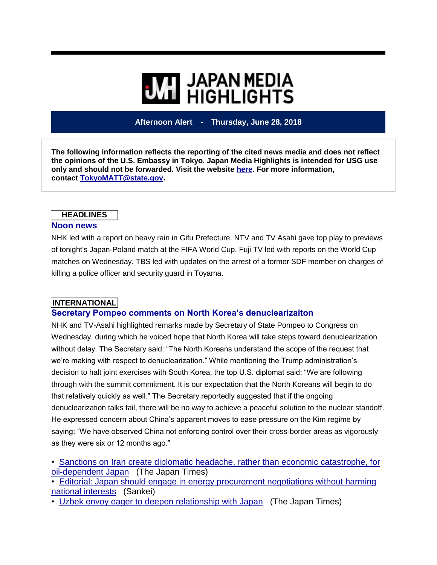# **WE HIGHLIGHTS**

#### **Afternoon Alert - Thursday, June 28, 2018**

**The following information reflects the reporting of the cited news media and does not reflect the opinions of the U.S. Embassy in Tokyo. Japan Media Highlights is intended for USG use only and should not be forwarded. Visit the website [here.](https://jmh.usembassy.gov/) For more information, contact [TokyoMATT@state.gov.](mailto:TokyoMATT@state.gov)**

# **HEADLINES**

#### **Noon news**

NHK led with a report on heavy rain in Gifu Prefecture. NTV and TV Asahi gave top play to previews of tonight's Japan-Poland match at the FIFA World Cup. Fuji TV led with reports on the World Cup matches on Wednesday. TBS led with updates on the arrest of a former SDF member on charges of killing a police officer and security guard in Toyama.

#### **INTERNATIONAL**

#### **Secretary Pompeo comments on North Korea's denuclearizaiton**

NHK and TV-Asahi highlighted remarks made by Secretary of State Pompeo to Congress on Wednesday, during which he voiced hope that North Korea will take steps toward denuclearization without delay. The Secretary said: "The North Koreans understand the scope of the request that we're making with respect to denuclearization." While mentioning the Trump administration's decision to halt joint exercises with South Korea, the top U.S. diplomat said: "We are following through with the summit commitment. It is our expectation that the North Koreans will begin to do that relatively quickly as well." The Secretary reportedly suggested that if the ongoing denuclearization talks fail, there will be no way to achieve a peaceful solution to the nuclear standoff. He expressed concern about China's apparent moves to ease pressure on the Kim regime by saying: "We have observed China not enforcing control over their cross-border areas as vigorously as they were six or 12 months ago."

• Sanctions on Iran create diplomatic headache, rather than economic [catastrophe,](https://jmh.usembassy.gov/20180628107578/) for [oil-dependent](https://jmh.usembassy.gov/20180628107578/) Japan (The Japan Times)

• Editorial: Japan should engage in energy [procurement](https://jmh.usembassy.gov/20180628107602/) negotiations without harming national [interests](https://jmh.usembassy.gov/20180628107602/) (Sankei)

• Uzbek envoy eager to deepen [relationship](https://jmh.usembassy.gov/20180628107580/) with Japan (The Japan Times)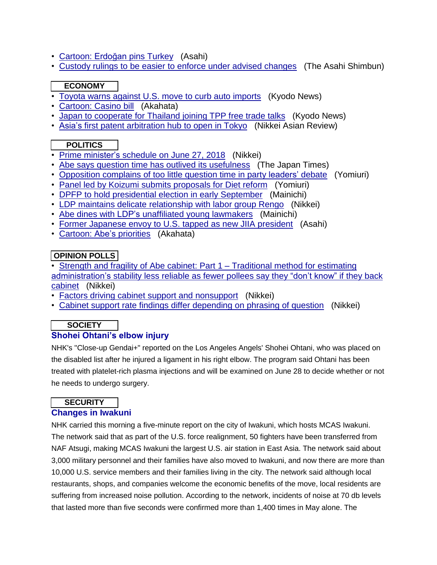- [Cartoon:](https://jmh.usembassy.gov/20180628107621/) Erdoğan pins Turkey (Asahi)
- Custody rulings to be easier to enforce under advised [changes](https://jmh.usembassy.gov/20180628107644/) (The Asahi Shimbun)

#### **ECONOMY**

- Toyota warns against U.S. move to curb auto [imports](https://jmh.usembassy.gov/20180628107630/) (Kyodo News)
- [Cartoon:](https://jmh.usembassy.gov/20180628107623/) Casino bill (Akahata)
- Japan to [cooperate](https://jmh.usembassy.gov/20180628107577/) for Thailand joining TPP free trade talks (Kyodo News)
- Asia's first patent [arbitration](https://jmh.usembassy.gov/20180628107634/) hub to open in Tokyo (Nikkei Asian Review)

## **POLITICS**

- Prime [minister's](https://jmh.usembassy.gov/20180628107596/) schedule on June 27, 2018 (Nikkei)
- Abe says question time has outlived its [usefulness](https://jmh.usembassy.gov/20180628107583/) (The Japan Times)
- [Opposition](https://jmh.usembassy.gov/20180628107598/) complains of too little question time in party leaders' debate (Yomiuri)
- Panel led by Koizumi submits [proposals](https://jmh.usembassy.gov/20180628107603/) for Diet reform (Yomiuri)
- DPFP to hold [presidential](https://jmh.usembassy.gov/20180628107605/) election in early September (Mainichi)
- LDP maintains delicate [relationship](https://jmh.usembassy.gov/20180628107607/) with labor group Rengo (Nikkei)
- Abe dines with LDP's [unaffiliated](https://jmh.usembassy.gov/20180628107610/) young lawmakers (Mainichi)
- Former [Japanese](https://jmh.usembassy.gov/20180628107627/) envoy to U.S. tapped as new JIIA president (Asahi)
- [Cartoon:](https://jmh.usembassy.gov/20180628107622/) Abe's priorities (Akahata)

## **OPINION POLLS**

- Strength and fragility of Abe cabinet: Part 1 [Traditional](https://jmh.usembassy.gov/20180628107638/) method for estimating [administration's](https://jmh.usembassy.gov/20180628107638/) stability less reliable as fewer pollees say they "don't know" if they back [cabinet](https://jmh.usembassy.gov/20180628107638/) (Nikkei)
- Factors driving cabinet support and [nonsupport](https://jmh.usembassy.gov/20180628107615/) (Nikkei)
- Cabinet support rate findings differ [depending](https://jmh.usembassy.gov/20180628107632/) on phrasing of question (Nikkei)

# **SOCIETY**

#### **Shohei Ohtani's elbow injury**

NHK's "Close-up Gendai+" reported on the Los Angeles Angels' Shohei Ohtani, who was placed on the disabled list after he injured a ligament in his right elbow. The program said Ohtani has been treated with platelet-rich plasma injections and will be examined on June 28 to decide whether or not he needs to undergo surgery.

#### **SECURITY**

#### **Changes in Iwakuni**

NHK carried this morning a five-minute report on the city of Iwakuni, which hosts MCAS Iwakuni. The network said that as part of the U.S. force realignment, 50 fighters have been transferred from NAF Atsugi, making MCAS Iwakuni the largest U.S. air station in East Asia. The network said about 3,000 military personnel and their families have also moved to Iwakuni, and now there are more than 10,000 U.S. service members and their families living in the city. The network said although local restaurants, shops, and companies welcome the economic benefits of the move, local residents are suffering from increased noise pollution. According to the network, incidents of noise at 70 db levels that lasted more than five seconds were confirmed more than 1,400 times in May alone. The